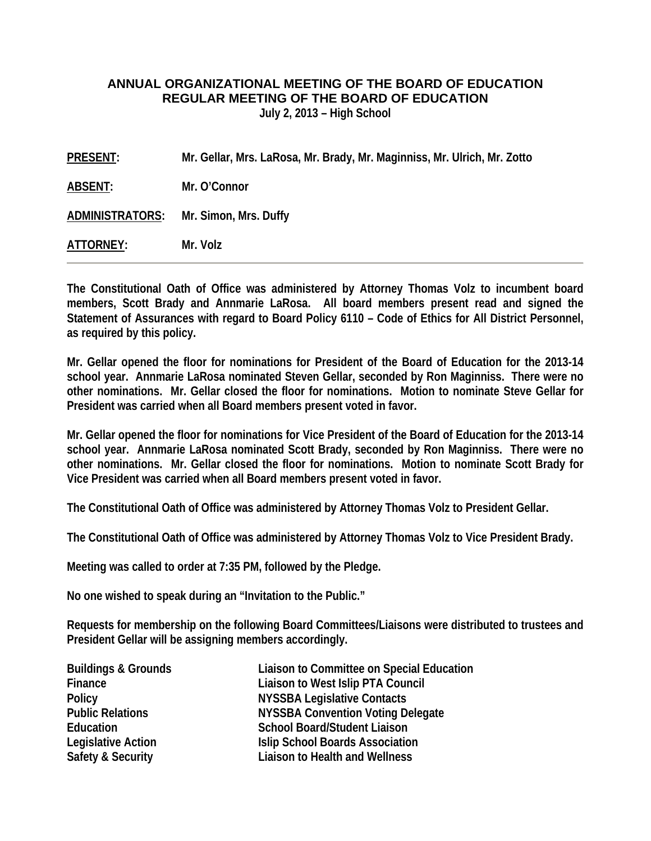### **ANNUAL ORGANIZATIONAL MEETING OF THE BOARD OF EDUCATION REGULAR MEETING OF THE BOARD OF EDUCATION**

**July 2, 2013 – High School** 

| PRESENT:  | Mr. Gellar, Mrs. LaRosa, Mr. Brady, Mr. Maginniss, Mr. Ulrich, Mr. Zotto |
|-----------|--------------------------------------------------------------------------|
| ABSENT:   | Mr. O'Connor                                                             |
|           | ADMINISTRATORS: Mr. Simon, Mrs. Duffy                                    |
| ATTORNEY: | Mr. Volz                                                                 |

**The Constitutional Oath of Office was administered by Attorney Thomas Volz to incumbent board members, Scott Brady and Annmarie LaRosa. All board members present read and signed the Statement of Assurances with regard to Board Policy 6110 – Code of Ethics for All District Personnel, as required by this policy.** 

**Mr. Gellar opened the floor for nominations for President of the Board of Education for the 2013-14 school year. Annmarie LaRosa nominated Steven Gellar, seconded by Ron Maginniss. There were no other nominations. Mr. Gellar closed the floor for nominations. Motion to nominate Steve Gellar for President was carried when all Board members present voted in favor.** 

**Mr. Gellar opened the floor for nominations for Vice President of the Board of Education for the 2013-14 school year. Annmarie LaRosa nominated Scott Brady, seconded by Ron Maginniss. There were no other nominations. Mr. Gellar closed the floor for nominations. Motion to nominate Scott Brady for Vice President was carried when all Board members present voted in favor.** 

**The Constitutional Oath of Office was administered by Attorney Thomas Volz to President Gellar.** 

**The Constitutional Oath of Office was administered by Attorney Thomas Volz to Vice President Brady.** 

**Meeting was called to order at 7:35 PM, followed by the Pledge.** 

**No one wished to speak during an "Invitation to the Public."** 

**Requests for membership on the following Board Committees/Liaisons were distributed to trustees and President Gellar will be assigning members accordingly.** 

| <b>Buildings &amp; Grounds</b> | Liaison to Committee on Special Education |
|--------------------------------|-------------------------------------------|
| Finance                        | Liaison to West Islip PTA Council         |
| <b>Policy</b>                  | <b>NYSSBA Legislative Contacts</b>        |
| <b>Public Relations</b>        | <b>NYSSBA Convention Voting Delegate</b>  |
| Education                      | <b>School Board/Student Liaison</b>       |
| <b>Legislative Action</b>      | <b>Islip School Boards Association</b>    |
| <b>Safety &amp; Security</b>   | <b>Liaison to Health and Wellness</b>     |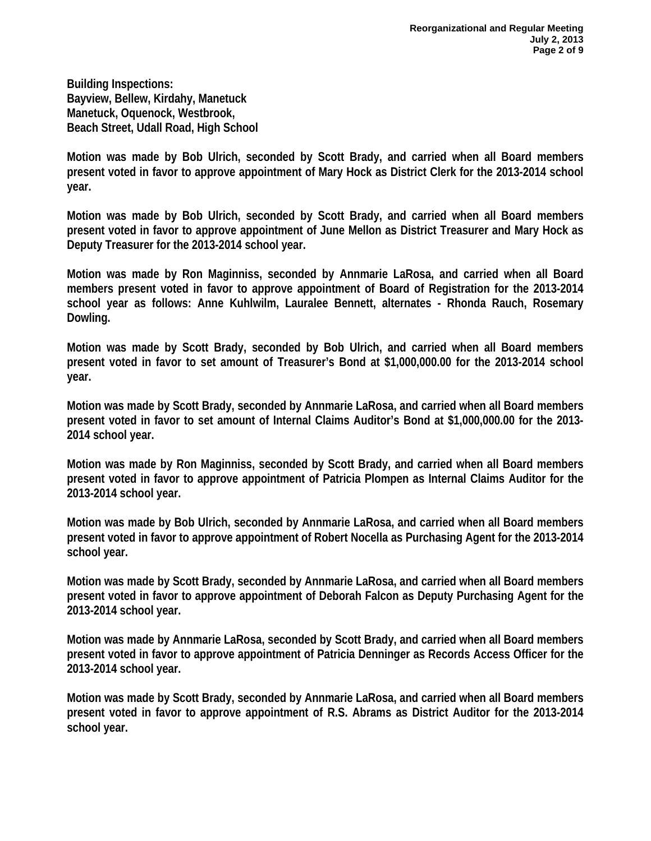**Building Inspections: Bayview, Bellew, Kirdahy, Manetuck Manetuck, Oquenock, Westbrook, Beach Street, Udall Road, High School** 

**Motion was made by Bob Ulrich, seconded by Scott Brady, and carried when all Board members present voted in favor to approve appointment of Mary Hock as District Clerk for the 2013-2014 school year.** 

**Motion was made by Bob Ulrich, seconded by Scott Brady, and carried when all Board members present voted in favor to approve appointment of June Mellon as District Treasurer and Mary Hock as Deputy Treasurer for the 2013-2014 school year.** 

**Motion was made by Ron Maginniss, seconded by Annmarie LaRosa, and carried when all Board members present voted in favor to approve appointment of Board of Registration for the 2013-2014 school year as follows: Anne Kuhlwilm, Lauralee Bennett, alternates - Rhonda Rauch, Rosemary Dowling.** 

**Motion was made by Scott Brady, seconded by Bob Ulrich, and carried when all Board members present voted in favor to set amount of Treasurer's Bond at \$1,000,000.00 for the 2013-2014 school year.** 

**Motion was made by Scott Brady, seconded by Annmarie LaRosa, and carried when all Board members present voted in favor to set amount of Internal Claims Auditor's Bond at \$1,000,000.00 for the 2013- 2014 school year.** 

**Motion was made by Ron Maginniss, seconded by Scott Brady, and carried when all Board members present voted in favor to approve appointment of Patricia Plompen as Internal Claims Auditor for the 2013-2014 school year.** 

**Motion was made by Bob Ulrich, seconded by Annmarie LaRosa, and carried when all Board members present voted in favor to approve appointment of Robert Nocella as Purchasing Agent for the 2013-2014 school year.** 

**Motion was made by Scott Brady, seconded by Annmarie LaRosa, and carried when all Board members present voted in favor to approve appointment of Deborah Falcon as Deputy Purchasing Agent for the 2013-2014 school year.** 

**Motion was made by Annmarie LaRosa, seconded by Scott Brady, and carried when all Board members present voted in favor to approve appointment of Patricia Denninger as Records Access Officer for the 2013-2014 school year.** 

**Motion was made by Scott Brady, seconded by Annmarie LaRosa, and carried when all Board members present voted in favor to approve appointment of R.S. Abrams as District Auditor for the 2013-2014 school year.**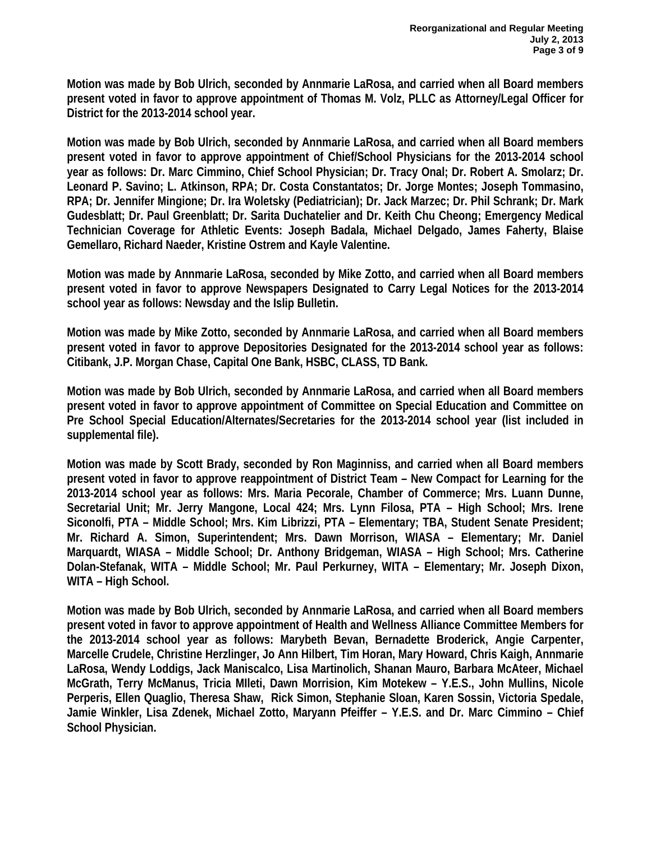**Motion was made by Bob Ulrich, seconded by Annmarie LaRosa, and carried when all Board members present voted in favor to approve appointment of Thomas M. Volz, PLLC as Attorney/Legal Officer for District for the 2013-2014 school year.** 

**Motion was made by Bob Ulrich, seconded by Annmarie LaRosa, and carried when all Board members present voted in favor to approve appointment of Chief/School Physicians for the 2013-2014 school year as follows: Dr. Marc Cimmino, Chief School Physician; Dr. Tracy Onal; Dr. Robert A. Smolarz; Dr. Leonard P. Savino; L. Atkinson, RPA; Dr. Costa Constantatos; Dr. Jorge Montes; Joseph Tommasino, RPA; Dr. Jennifer Mingione; Dr. Ira Woletsky (Pediatrician); Dr. Jack Marzec; Dr. Phil Schrank; Dr. Mark Gudesblatt; Dr. Paul Greenblatt; Dr. Sarita Duchatelier and Dr. Keith Chu Cheong; Emergency Medical Technician Coverage for Athletic Events: Joseph Badala, Michael Delgado, James Faherty, Blaise Gemellaro, Richard Naeder, Kristine Ostrem and Kayle Valentine.** 

**Motion was made by Annmarie LaRosa, seconded by Mike Zotto, and carried when all Board members present voted in favor to approve Newspapers Designated to Carry Legal Notices for the 2013-2014 school year as follows: Newsday and the Islip Bulletin.** 

**Motion was made by Mike Zotto, seconded by Annmarie LaRosa, and carried when all Board members present voted in favor to approve Depositories Designated for the 2013-2014 school year as follows: Citibank, J.P. Morgan Chase, Capital One Bank, HSBC, CLASS, TD Bank.** 

**Motion was made by Bob Ulrich, seconded by Annmarie LaRosa, and carried when all Board members present voted in favor to approve appointment of Committee on Special Education and Committee on Pre School Special Education/Alternates/Secretaries for the 2013-2014 school year (list included in supplemental file).** 

**Motion was made by Scott Brady, seconded by Ron Maginniss, and carried when all Board members present voted in favor to approve reappointment of District Team – New Compact for Learning for the 2013-2014 school year as follows: Mrs. Maria Pecorale, Chamber of Commerce; Mrs. Luann Dunne, Secretarial Unit; Mr. Jerry Mangone, Local 424; Mrs. Lynn Filosa, PTA – High School; Mrs. Irene Siconolfi, PTA – Middle School; Mrs. Kim Librizzi, PTA – Elementary; TBA, Student Senate President; Mr. Richard A. Simon, Superintendent; Mrs. Dawn Morrison, WIASA – Elementary; Mr. Daniel Marquardt, WIASA – Middle School; Dr. Anthony Bridgeman, WIASA – High School; Mrs. Catherine Dolan-Stefanak, WITA – Middle School; Mr. Paul Perkurney, WITA – Elementary; Mr. Joseph Dixon, WITA – High School.** 

**Motion was made by Bob Ulrich, seconded by Annmarie LaRosa, and carried when all Board members present voted in favor to approve appointment of Health and Wellness Alliance Committee Members for the 2013-2014 school year as follows: Marybeth Bevan, Bernadette Broderick, Angie Carpenter, Marcelle Crudele, Christine Herzlinger, Jo Ann Hilbert, Tim Horan, Mary Howard, Chris Kaigh, Annmarie LaRosa, Wendy Loddigs, Jack Maniscalco, Lisa Martinolich, Shanan Mauro, Barbara McAteer, Michael McGrath, Terry McManus, Tricia MIleti, Dawn Morrision, Kim Motekew – Y.E.S., John Mullins, Nicole Perperis, Ellen Quaglio, Theresa Shaw, Rick Simon, Stephanie Sloan, Karen Sossin, Victoria Spedale, Jamie Winkler, Lisa Zdenek, Michael Zotto, Maryann Pfeiffer – Y.E.S. and Dr. Marc Cimmino – Chief School Physician.**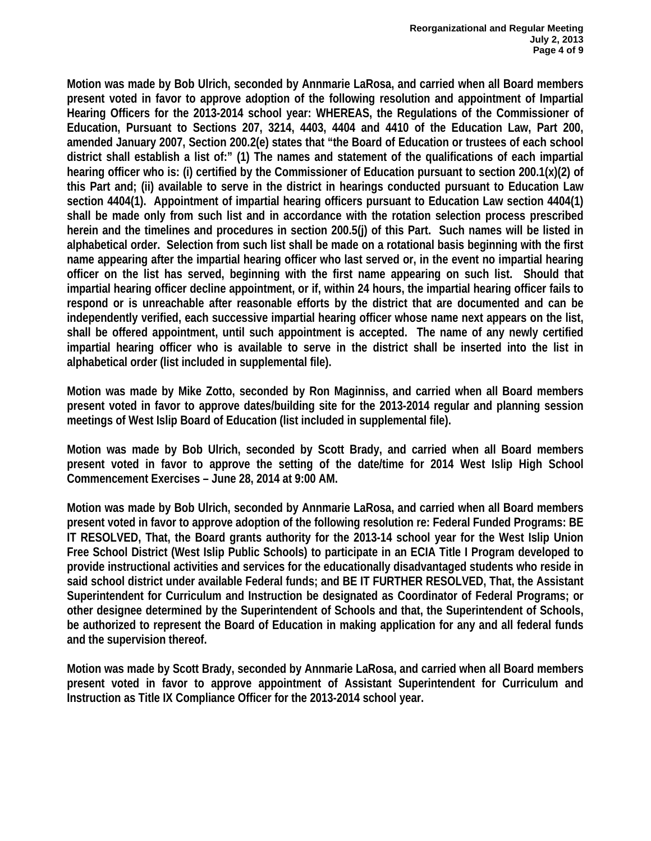**Motion was made by Bob Ulrich, seconded by Annmarie LaRosa, and carried when all Board members present voted in favor to approve adoption of the following resolution and appointment of Impartial Hearing Officers for the 2013-2014 school year: WHEREAS, the Regulations of the Commissioner of Education, Pursuant to Sections 207, 3214, 4403, 4404 and 4410 of the Education Law, Part 200, amended January 2007, Section 200.2(e) states that "the Board of Education or trustees of each school district shall establish a list of:" (1) The names and statement of the qualifications of each impartial hearing officer who is: (i) certified by the Commissioner of Education pursuant to section 200.1(x)(2) of this Part and; (ii) available to serve in the district in hearings conducted pursuant to Education Law section 4404(1). Appointment of impartial hearing officers pursuant to Education Law section 4404(1) shall be made only from such list and in accordance with the rotation selection process prescribed herein and the timelines and procedures in section 200.5(j) of this Part. Such names will be listed in alphabetical order. Selection from such list shall be made on a rotational basis beginning with the first name appearing after the impartial hearing officer who last served or, in the event no impartial hearing officer on the list has served, beginning with the first name appearing on such list. Should that impartial hearing officer decline appointment, or if, within 24 hours, the impartial hearing officer fails to respond or is unreachable after reasonable efforts by the district that are documented and can be independently verified, each successive impartial hearing officer whose name next appears on the list, shall be offered appointment, until such appointment is accepted. The name of any newly certified impartial hearing officer who is available to serve in the district shall be inserted into the list in alphabetical order (list included in supplemental file).** 

**Motion was made by Mike Zotto, seconded by Ron Maginniss, and carried when all Board members present voted in favor to approve dates/building site for the 2013-2014 regular and planning session meetings of West Islip Board of Education (list included in supplemental file).** 

**Motion was made by Bob Ulrich, seconded by Scott Brady, and carried when all Board members present voted in favor to approve the setting of the date/time for 2014 West Islip High School Commencement Exercises – June 28, 2014 at 9:00 AM.** 

**Motion was made by Bob Ulrich, seconded by Annmarie LaRosa, and carried when all Board members present voted in favor to approve adoption of the following resolution re: Federal Funded Programs: BE IT RESOLVED, That, the Board grants authority for the 2013-14 school year for the West Islip Union Free School District (West Islip Public Schools) to participate in an ECIA Title I Program developed to provide instructional activities and services for the educationally disadvantaged students who reside in said school district under available Federal funds; and BE IT FURTHER RESOLVED, That, the Assistant Superintendent for Curriculum and Instruction be designated as Coordinator of Federal Programs; or other designee determined by the Superintendent of Schools and that, the Superintendent of Schools, be authorized to represent the Board of Education in making application for any and all federal funds and the supervision thereof.** 

**Motion was made by Scott Brady, seconded by Annmarie LaRosa, and carried when all Board members present voted in favor to approve appointment of Assistant Superintendent for Curriculum and Instruction as Title IX Compliance Officer for the 2013-2014 school year.**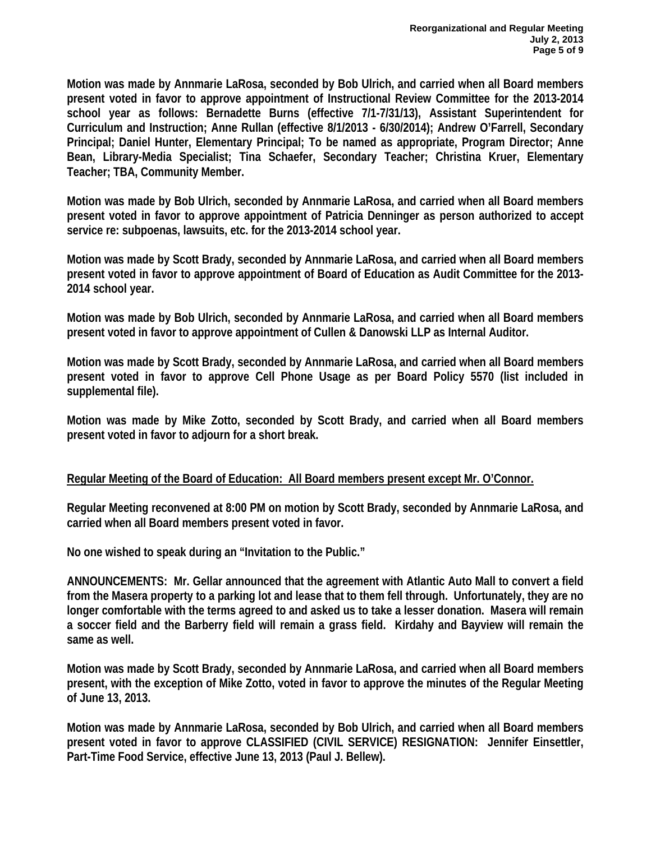**Motion was made by Annmarie LaRosa, seconded by Bob Ulrich, and carried when all Board members present voted in favor to approve appointment of Instructional Review Committee for the 2013-2014 school year as follows: Bernadette Burns (effective 7/1-7/31/13), Assistant Superintendent for Curriculum and Instruction; Anne Rullan (effective 8/1/2013 - 6/30/2014); Andrew O'Farrell, Secondary Principal; Daniel Hunter, Elementary Principal; To be named as appropriate, Program Director; Anne Bean, Library-Media Specialist; Tina Schaefer, Secondary Teacher; Christina Kruer, Elementary Teacher; TBA, Community Member.** 

**Motion was made by Bob Ulrich, seconded by Annmarie LaRosa, and carried when all Board members present voted in favor to approve appointment of Patricia Denninger as person authorized to accept service re: subpoenas, lawsuits, etc. for the 2013-2014 school year.** 

**Motion was made by Scott Brady, seconded by Annmarie LaRosa, and carried when all Board members present voted in favor to approve appointment of Board of Education as Audit Committee for the 2013- 2014 school year.** 

**Motion was made by Bob Ulrich, seconded by Annmarie LaRosa, and carried when all Board members present voted in favor to approve appointment of Cullen & Danowski LLP as Internal Auditor.** 

**Motion was made by Scott Brady, seconded by Annmarie LaRosa, and carried when all Board members present voted in favor to approve Cell Phone Usage as per Board Policy 5570 (list included in supplemental file).** 

**Motion was made by Mike Zotto, seconded by Scott Brady, and carried when all Board members present voted in favor to adjourn for a short break.** 

# **Regular Meeting of the Board of Education: All Board members present except Mr. O'Connor.**

**Regular Meeting reconvened at 8:00 PM on motion by Scott Brady, seconded by Annmarie LaRosa, and carried when all Board members present voted in favor.** 

**No one wished to speak during an "Invitation to the Public."** 

**ANNOUNCEMENTS: Mr. Gellar announced that the agreement with Atlantic Auto Mall to convert a field from the Masera property to a parking lot and lease that to them fell through. Unfortunately, they are no longer comfortable with the terms agreed to and asked us to take a lesser donation. Masera will remain a soccer field and the Barberry field will remain a grass field. Kirdahy and Bayview will remain the same as well.** 

**Motion was made by Scott Brady, seconded by Annmarie LaRosa, and carried when all Board members present, with the exception of Mike Zotto, voted in favor to approve the minutes of the Regular Meeting of June 13, 2013.** 

**Motion was made by Annmarie LaRosa, seconded by Bob Ulrich, and carried when all Board members present voted in favor to approve CLASSIFIED (CIVIL SERVICE) RESIGNATION: Jennifer Einsettler, Part-Time Food Service, effective June 13, 2013 (Paul J. Bellew).**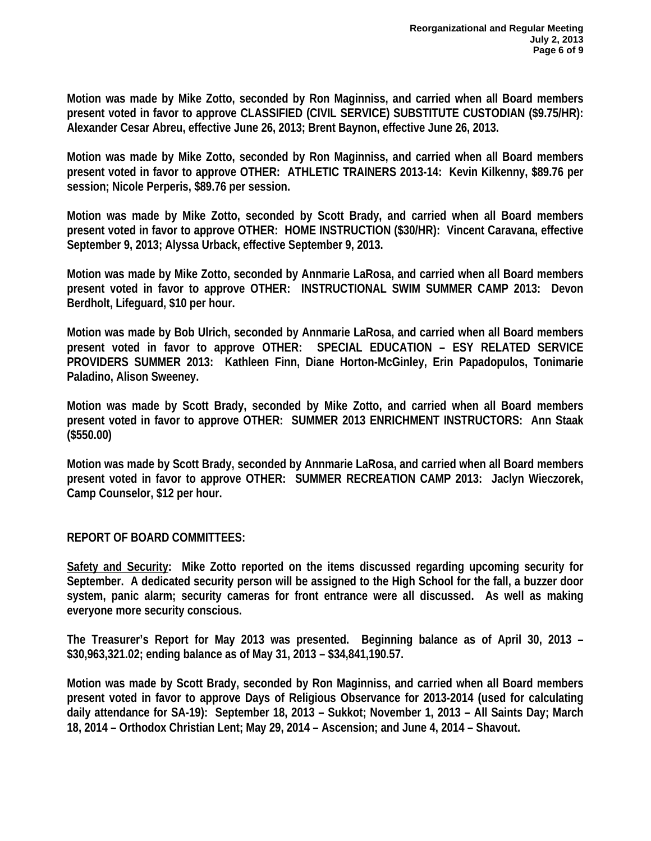**Motion was made by Mike Zotto, seconded by Ron Maginniss, and carried when all Board members present voted in favor to approve CLASSIFIED (CIVIL SERVICE) SUBSTITUTE CUSTODIAN (\$9.75/HR): Alexander Cesar Abreu, effective June 26, 2013; Brent Baynon, effective June 26, 2013.** 

**Motion was made by Mike Zotto, seconded by Ron Maginniss, and carried when all Board members present voted in favor to approve OTHER: ATHLETIC TRAINERS 2013-14: Kevin Kilkenny, \$89.76 per session; Nicole Perperis, \$89.76 per session.** 

**Motion was made by Mike Zotto, seconded by Scott Brady, and carried when all Board members present voted in favor to approve OTHER: HOME INSTRUCTION (\$30/HR): Vincent Caravana, effective September 9, 2013; Alyssa Urback, effective September 9, 2013.** 

**Motion was made by Mike Zotto, seconded by Annmarie LaRosa, and carried when all Board members present voted in favor to approve OTHER: INSTRUCTIONAL SWIM SUMMER CAMP 2013: Devon Berdholt, Lifeguard, \$10 per hour.** 

**Motion was made by Bob Ulrich, seconded by Annmarie LaRosa, and carried when all Board members present voted in favor to approve OTHER: SPECIAL EDUCATION – ESY RELATED SERVICE PROVIDERS SUMMER 2013: Kathleen Finn, Diane Horton-McGinley, Erin Papadopulos, Tonimarie Paladino, Alison Sweeney.** 

**Motion was made by Scott Brady, seconded by Mike Zotto, and carried when all Board members present voted in favor to approve OTHER: SUMMER 2013 ENRICHMENT INSTRUCTORS: Ann Staak (\$550.00)** 

**Motion was made by Scott Brady, seconded by Annmarie LaRosa, and carried when all Board members present voted in favor to approve OTHER: SUMMER RECREATION CAMP 2013: Jaclyn Wieczorek, Camp Counselor, \$12 per hour.** 

**REPORT OF BOARD COMMITTEES:** 

**Safety and Security: Mike Zotto reported on the items discussed regarding upcoming security for September. A dedicated security person will be assigned to the High School for the fall, a buzzer door system, panic alarm; security cameras for front entrance were all discussed. As well as making everyone more security conscious.** 

**The Treasurer's Report for May 2013 was presented. Beginning balance as of April 30, 2013 – \$30,963,321.02; ending balance as of May 31, 2013 – \$34,841,190.57.** 

**Motion was made by Scott Brady, seconded by Ron Maginniss, and carried when all Board members present voted in favor to approve Days of Religious Observance for 2013-2014 (used for calculating daily attendance for SA-19): September 18, 2013 – Sukkot; November 1, 2013 – All Saints Day; March 18, 2014 – Orthodox Christian Lent; May 29, 2014 – Ascension; and June 4, 2014 – Shavout.**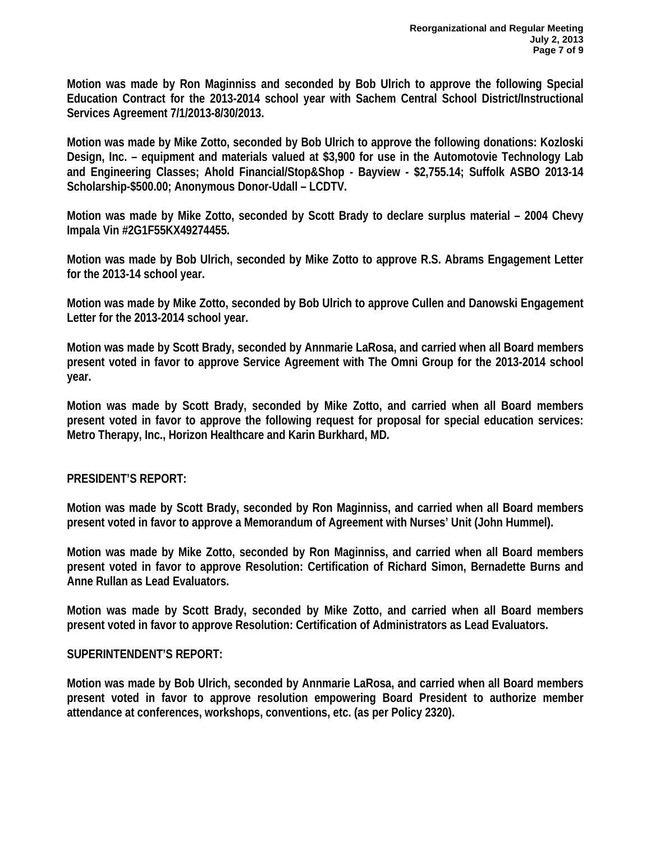**Motion was made by Ron Maginniss and seconded by Bob Ulrich to approve the following Special Education Contract for the 2013-2014 school year with Sachem Central School District/Instructional Services Agreement 7/1/2013-8/30/2013.** 

**Motion was made by Mike Zotto, seconded by Bob Ulrich to approve the following donations: Kozloski Design, Inc. – equipment and materials valued at \$3,900 for use in the Automotovie Technology Lab and Engineering Classes; Ahold Financial/Stop&Shop - Bayview - \$2,755.14; Suffolk ASBO 2013-14 Scholarship-\$500.00; Anonymous Donor-Udall – LCDTV.** 

**Motion was made by Mike Zotto, seconded by Scott Brady to declare surplus material – 2004 Chevy Impala Vin #2G1F55KX49274455.** 

**Motion was made by Bob Ulrich, seconded by Mike Zotto to approve R.S. Abrams Engagement Letter for the 2013-14 school year.** 

**Motion was made by Mike Zotto, seconded by Bob Ulrich to approve Cullen and Danowski Engagement Letter for the 2013-2014 school year.** 

**Motion was made by Scott Brady, seconded by Annmarie LaRosa, and carried when all Board members present voted in favor to approve Service Agreement with The Omni Group for the 2013-2014 school year.** 

**Motion was made by Scott Brady, seconded by Mike Zotto, and carried when all Board members present voted in favor to approve the following request for proposal for special education services: Metro Therapy, Inc., Horizon Healthcare and Karin Burkhard, MD.** 

# **PRESIDENT'S REPORT:**

**Motion was made by Scott Brady, seconded by Ron Maginniss, and carried when all Board members present voted in favor to approve a Memorandum of Agreement with Nurses' Unit (John Hummel).** 

**Motion was made by Mike Zotto, seconded by Ron Maginniss, and carried when all Board members present voted in favor to approve Resolution: Certification of Richard Simon, Bernadette Burns and Anne Rullan as Lead Evaluators.** 

**Motion was made by Scott Brady, seconded by Mike Zotto, and carried when all Board members present voted in favor to approve Resolution: Certification of Administrators as Lead Evaluators.** 

#### **SUPERINTENDENT'S REPORT:**

**Motion was made by Bob Ulrich, seconded by Annmarie LaRosa, and carried when all Board members present voted in favor to approve resolution empowering Board President to authorize member attendance at conferences, workshops, conventions, etc. (as per Policy 2320).**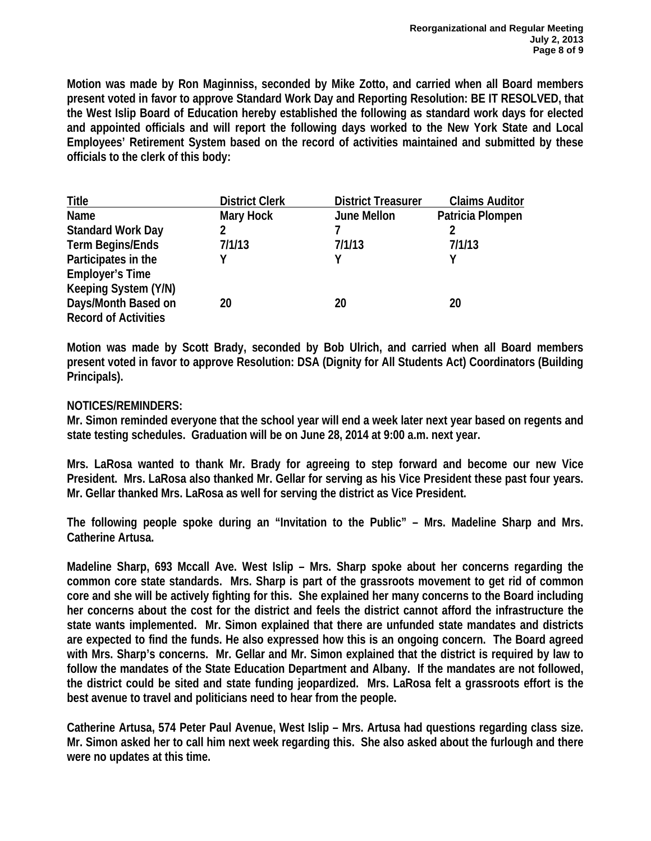**Motion was made by Ron Maginniss, seconded by Mike Zotto, and carried when all Board members present voted in favor to approve Standard Work Day and Reporting Resolution: BE IT RESOLVED, that the West Islip Board of Education hereby established the following as standard work days for elected and appointed officials and will report the following days worked to the New York State and Local Employees' Retirement System based on the record of activities maintained and submitted by these officials to the clerk of this body:** 

| <b>Title</b>                | <b>District Clerk</b> | <b>District Treasurer</b> | <b>Claims Auditor</b> |
|-----------------------------|-----------------------|---------------------------|-----------------------|
| Name                        | Mary Hock             | June Mellon               | Patricia Plompen      |
| <b>Standard Work Day</b>    | 2                     |                           |                       |
| <b>Term Begins/Ends</b>     | 7/1/13                | 7/1/13                    | 7/1/13                |
| Participates in the         |                       | v                         |                       |
| <b>Employer's Time</b>      |                       |                           |                       |
| Keeping System (Y/N)        |                       |                           |                       |
| Days/Month Based on         | 20                    | 20                        | 20                    |
| <b>Record of Activities</b> |                       |                           |                       |

**Motion was made by Scott Brady, seconded by Bob Ulrich, and carried when all Board members present voted in favor to approve Resolution: DSA (Dignity for All Students Act) Coordinators (Building Principals).** 

### **NOTICES/REMINDERS:**

**Mr. Simon reminded everyone that the school year will end a week later next year based on regents and state testing schedules. Graduation will be on June 28, 2014 at 9:00 a.m. next year.** 

**Mrs. LaRosa wanted to thank Mr. Brady for agreeing to step forward and become our new Vice President. Mrs. LaRosa also thanked Mr. Gellar for serving as his Vice President these past four years. Mr. Gellar thanked Mrs. LaRosa as well for serving the district as Vice President.** 

**The following people spoke during an "Invitation to the Public" – Mrs. Madeline Sharp and Mrs. Catherine Artusa.** 

**Madeline Sharp, 693 Mccall Ave. West Islip – Mrs. Sharp spoke about her concerns regarding the common core state standards. Mrs. Sharp is part of the grassroots movement to get rid of common core and she will be actively fighting for this. She explained her many concerns to the Board including her concerns about the cost for the district and feels the district cannot afford the infrastructure the state wants implemented. Mr. Simon explained that there are unfunded state mandates and districts are expected to find the funds. He also expressed how this is an ongoing concern. The Board agreed with Mrs. Sharp's concerns. Mr. Gellar and Mr. Simon explained that the district is required by law to follow the mandates of the State Education Department and Albany. If the mandates are not followed, the district could be sited and state funding jeopardized. Mrs. LaRosa felt a grassroots effort is the best avenue to travel and politicians need to hear from the people.** 

**Catherine Artusa, 574 Peter Paul Avenue, West Islip – Mrs. Artusa had questions regarding class size. Mr. Simon asked her to call him next week regarding this. She also asked about the furlough and there were no updates at this time.**